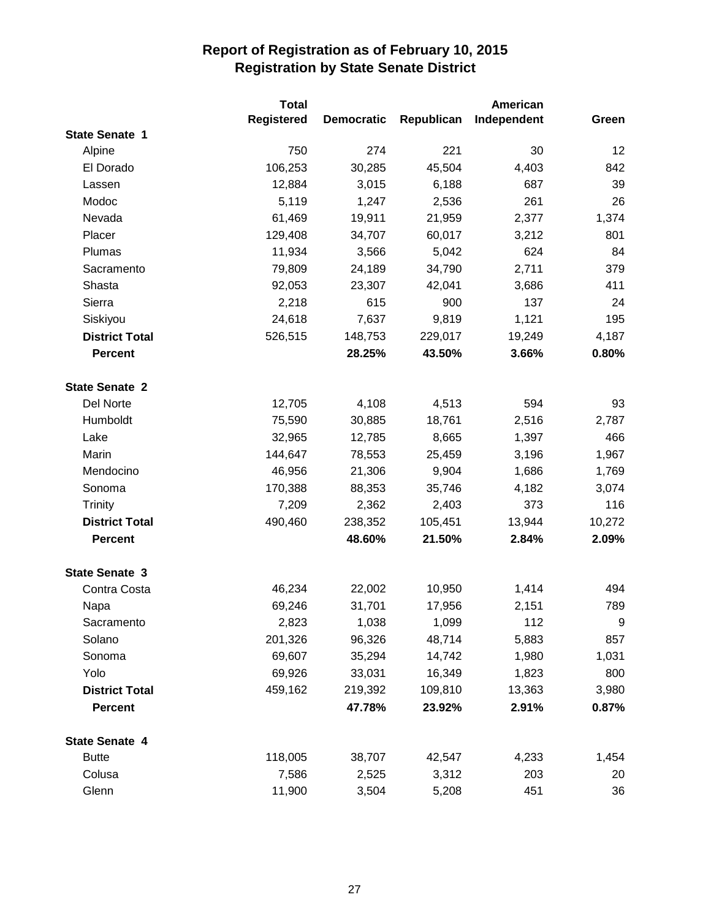|                       | <b>Total</b>      |                   |            | American    |        |
|-----------------------|-------------------|-------------------|------------|-------------|--------|
|                       | <b>Registered</b> | <b>Democratic</b> | Republican | Independent | Green  |
| <b>State Senate 1</b> |                   |                   |            |             |        |
| Alpine                | 750               | 274               | 221        | 30          | 12     |
| El Dorado             | 106,253           | 30,285            | 45,504     | 4,403       | 842    |
| Lassen                | 12,884            | 3,015             | 6,188      | 687         | 39     |
| Modoc                 | 5,119             | 1,247             | 2,536      | 261         | 26     |
| Nevada                | 61,469            | 19,911            | 21,959     | 2,377       | 1,374  |
| Placer                | 129,408           | 34,707            | 60,017     | 3,212       | 801    |
| Plumas                | 11,934            | 3,566             | 5,042      | 624         | 84     |
| Sacramento            | 79,809            | 24,189            | 34,790     | 2,711       | 379    |
| Shasta                | 92,053            | 23,307            | 42,041     | 3,686       | 411    |
| Sierra                | 2,218             | 615               | 900        | 137         | 24     |
| Siskiyou              | 24,618            | 7,637             | 9,819      | 1,121       | 195    |
| <b>District Total</b> | 526,515           | 148,753           | 229,017    | 19,249      | 4,187  |
| <b>Percent</b>        |                   | 28.25%            | 43.50%     | 3.66%       | 0.80%  |
| <b>State Senate 2</b> |                   |                   |            |             |        |
| Del Norte             | 12,705            | 4,108             | 4,513      | 594         | 93     |
| Humboldt              | 75,590            | 30,885            | 18,761     | 2,516       | 2,787  |
| Lake                  | 32,965            | 12,785            | 8,665      | 1,397       | 466    |
| Marin                 | 144,647           | 78,553            | 25,459     | 3,196       | 1,967  |
| Mendocino             | 46,956            | 21,306            | 9,904      | 1,686       | 1,769  |
| Sonoma                | 170,388           | 88,353            | 35,746     | 4,182       | 3,074  |
| Trinity               | 7,209             | 2,362             | 2,403      | 373         | 116    |
| <b>District Total</b> | 490,460           | 238,352           | 105,451    | 13,944      | 10,272 |
| <b>Percent</b>        |                   | 48.60%            | 21.50%     | 2.84%       | 2.09%  |
| <b>State Senate 3</b> |                   |                   |            |             |        |
| Contra Costa          | 46,234            | 22,002            | 10,950     | 1,414       | 494    |
| Napa                  | 69,246            | 31,701            | 17,956     | 2,151       | 789    |
| Sacramento            | 2,823             | 1,038             | 1,099      | 112         | 9      |
| Solano                | 201,326           | 96,326            | 48,714     | 5,883       | 857    |
| Sonoma                | 69,607            | 35,294            | 14,742     | 1,980       | 1,031  |
| Yolo                  | 69,926            | 33,031            | 16,349     | 1,823       | 800    |
| <b>District Total</b> | 459,162           | 219,392           | 109,810    | 13,363      | 3,980  |
| <b>Percent</b>        |                   | 47.78%            | 23.92%     | 2.91%       | 0.87%  |
| <b>State Senate 4</b> |                   |                   |            |             |        |
| <b>Butte</b>          | 118,005           | 38,707            | 42,547     | 4,233       | 1,454  |
| Colusa                | 7,586             | 2,525             | 3,312      | 203         | 20     |
| Glenn                 | 11,900            | 3,504             | 5,208      | 451         | 36     |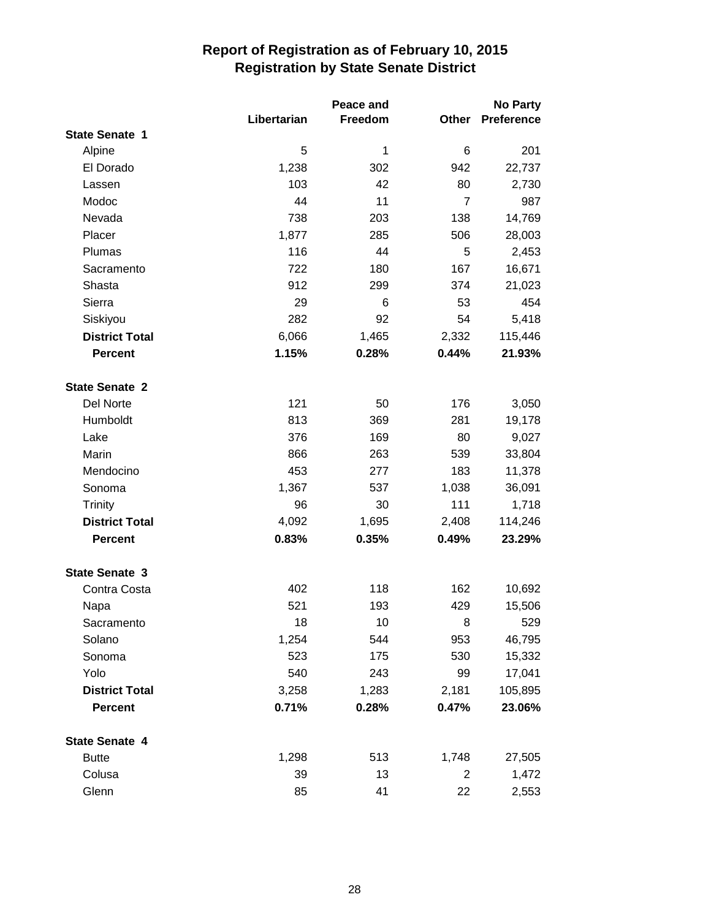|                       | Peace and   |         |                | <b>No Party</b> |  |
|-----------------------|-------------|---------|----------------|-----------------|--|
|                       | Libertarian | Freedom | Other          | Preference      |  |
| <b>State Senate 1</b> |             |         |                |                 |  |
| Alpine                | 5           | 1       | 6              | 201             |  |
| El Dorado             | 1,238       | 302     | 942            | 22,737          |  |
| Lassen                | 103         | 42      | 80             | 2,730           |  |
| Modoc                 | 44          | 11      | $\overline{7}$ | 987             |  |
| Nevada                | 738         | 203     | 138            | 14,769          |  |
| Placer                | 1,877       | 285     | 506            | 28,003          |  |
| Plumas                | 116         | 44      | 5              | 2,453           |  |
| Sacramento            | 722         | 180     | 167            | 16,671          |  |
| Shasta                | 912         | 299     | 374            | 21,023          |  |
| Sierra                | 29          | 6       | 53             | 454             |  |
| Siskiyou              | 282         | 92      | 54             | 5,418           |  |
| <b>District Total</b> | 6,066       | 1,465   | 2,332          | 115,446         |  |
| <b>Percent</b>        | 1.15%       | 0.28%   | 0.44%          | 21.93%          |  |
| <b>State Senate 2</b> |             |         |                |                 |  |
| Del Norte             | 121         | 50      | 176            | 3,050           |  |
| Humboldt              | 813         | 369     | 281            | 19,178          |  |
| Lake                  | 376         | 169     | 80             | 9,027           |  |
| Marin                 | 866         | 263     | 539            | 33,804          |  |
| Mendocino             | 453         | 277     | 183            | 11,378          |  |
| Sonoma                | 1,367       | 537     | 1,038          | 36,091          |  |
| <b>Trinity</b>        | 96          | 30      | 111            | 1,718           |  |
| <b>District Total</b> | 4,092       | 1,695   | 2,408          | 114,246         |  |
| <b>Percent</b>        | 0.83%       | 0.35%   | 0.49%          | 23.29%          |  |
| <b>State Senate 3</b> |             |         |                |                 |  |
| Contra Costa          | 402         | 118     | 162            | 10,692          |  |
| Napa                  | 521         | 193     | 429            | 15,506          |  |
| Sacramento            | 18          | 10      | 8              | 529             |  |
| Solano                | 1,254       | 544     | 953            | 46,795          |  |
| Sonoma                | 523         | 175     | 530            | 15,332          |  |
| Yolo                  | 540         | 243     | 99             | 17,041          |  |
| <b>District Total</b> | 3,258       | 1,283   | 2,181          | 105,895         |  |
| <b>Percent</b>        | 0.71%       | 0.28%   | 0.47%          | 23.06%          |  |
| <b>State Senate 4</b> |             |         |                |                 |  |
| <b>Butte</b>          | 1,298       | 513     | 1,748          | 27,505          |  |
| Colusa                | 39          | 13      | $\overline{2}$ | 1,472           |  |
| Glenn                 | 85          | 41      | 22             | 2,553           |  |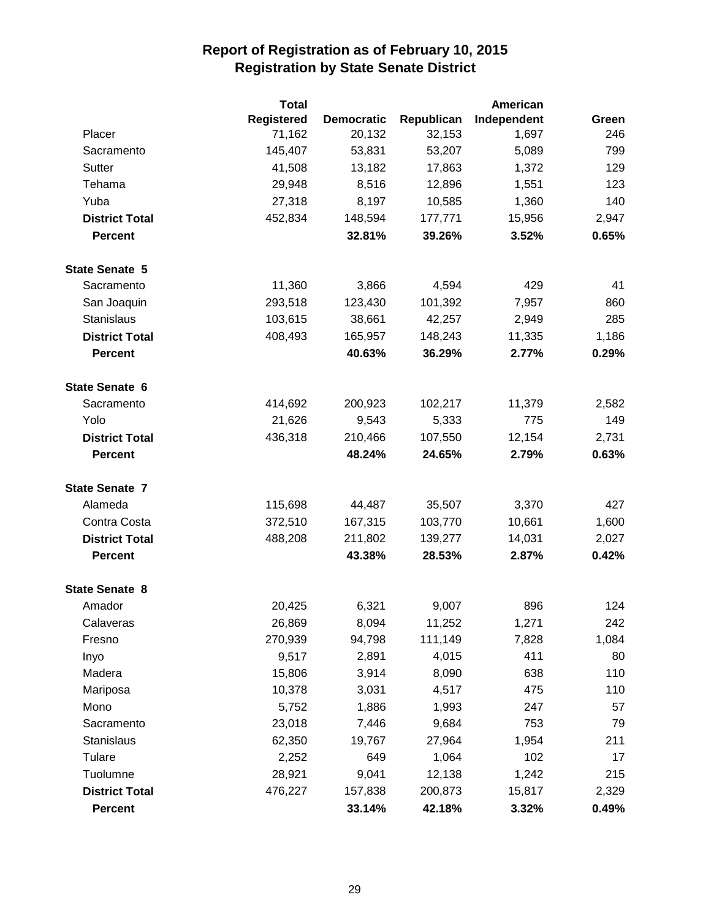|                       | <b>Total</b>      |                   |            | American    |       |
|-----------------------|-------------------|-------------------|------------|-------------|-------|
|                       | <b>Registered</b> | <b>Democratic</b> | Republican | Independent | Green |
| Placer                | 71,162            | 20,132            | 32,153     | 1,697       | 246   |
| Sacramento            | 145,407           | 53,831            | 53,207     | 5,089       | 799   |
| Sutter                | 41,508            | 13,182            | 17,863     | 1,372       | 129   |
| Tehama                | 29,948            | 8,516             | 12,896     | 1,551       | 123   |
| Yuba                  | 27,318            | 8,197             | 10,585     | 1,360       | 140   |
| <b>District Total</b> | 452,834           | 148,594           | 177,771    | 15,956      | 2,947 |
| <b>Percent</b>        |                   | 32.81%            | 39.26%     | 3.52%       | 0.65% |
| <b>State Senate 5</b> |                   |                   |            |             |       |
| Sacramento            | 11,360            | 3,866             | 4,594      | 429         | 41    |
| San Joaquin           | 293,518           | 123,430           | 101,392    | 7,957       | 860   |
| <b>Stanislaus</b>     | 103,615           | 38,661            | 42,257     | 2,949       | 285   |
| <b>District Total</b> | 408,493           | 165,957           | 148,243    | 11,335      | 1,186 |
| <b>Percent</b>        |                   | 40.63%            | 36.29%     | 2.77%       | 0.29% |
| State Senate 6        |                   |                   |            |             |       |
| Sacramento            | 414,692           | 200,923           | 102,217    | 11,379      | 2,582 |
| Yolo                  | 21,626            | 9,543             | 5,333      | 775         | 149   |
| <b>District Total</b> | 436,318           | 210,466           | 107,550    | 12,154      | 2,731 |
| <b>Percent</b>        |                   | 48.24%            | 24.65%     | 2.79%       | 0.63% |
| <b>State Senate 7</b> |                   |                   |            |             |       |
| Alameda               | 115,698           | 44,487            | 35,507     | 3,370       | 427   |
| Contra Costa          | 372,510           | 167,315           | 103,770    | 10,661      | 1,600 |
| <b>District Total</b> | 488,208           | 211,802           | 139,277    | 14,031      | 2,027 |
| <b>Percent</b>        |                   | 43.38%            | 28.53%     | 2.87%       | 0.42% |
| <b>State Senate 8</b> |                   |                   |            |             |       |
| Amador                | 20,425            | 6,321             | 9,007      | 896         | 124   |
| Calaveras             | 26,869            | 8,094             | 11,252     | 1,271       | 242   |
| Fresno                | 270,939           | 94,798            | 111,149    | 7,828       | 1,084 |
| Inyo                  | 9,517             | 2,891             | 4,015      | 411         | 80    |
| Madera                | 15,806            | 3,914             | 8,090      | 638         | 110   |
| Mariposa              | 10,378            | 3,031             | 4,517      | 475         | 110   |
| Mono                  | 5,752             | 1,886             | 1,993      | 247         | 57    |
| Sacramento            | 23,018            | 7,446             | 9,684      | 753         | 79    |
| <b>Stanislaus</b>     | 62,350            | 19,767            | 27,964     | 1,954       | 211   |
| Tulare                | 2,252             | 649               | 1,064      | 102         | 17    |
| Tuolumne              | 28,921            | 9,041             | 12,138     | 1,242       | 215   |
| <b>District Total</b> | 476,227           | 157,838           | 200,873    | 15,817      | 2,329 |
| <b>Percent</b>        |                   | 33.14%            | 42.18%     | 3.32%       | 0.49% |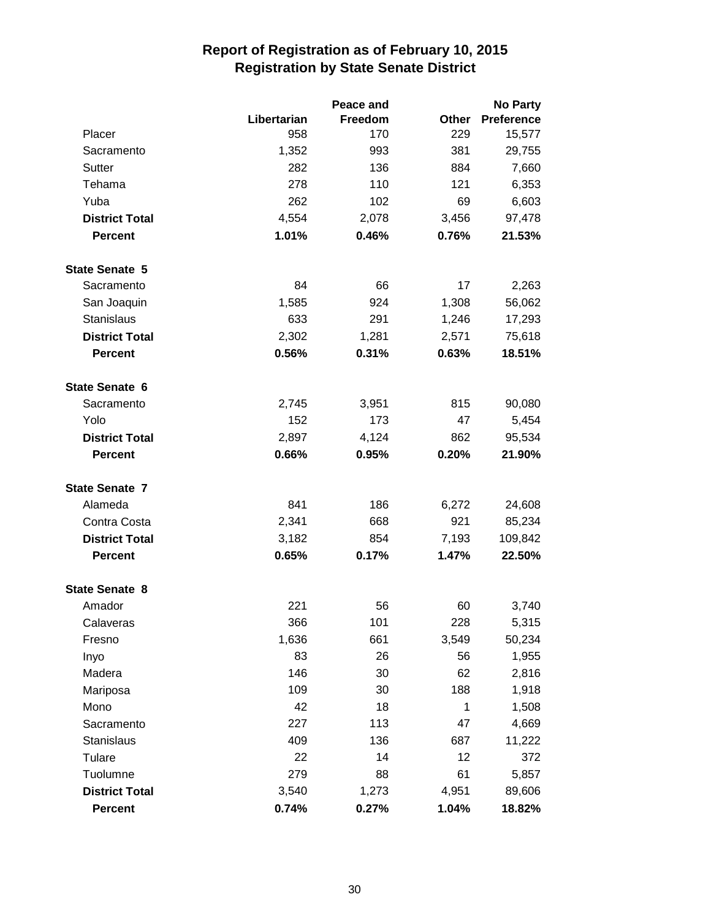|                       |             | Peace and | <b>No Party</b> |                   |  |
|-----------------------|-------------|-----------|-----------------|-------------------|--|
|                       | Libertarian | Freedom   | Other           | <b>Preference</b> |  |
| Placer                | 958         | 170       | 229             | 15,577            |  |
| Sacramento            | 1,352       | 993       | 381             | 29,755            |  |
| Sutter                | 282         | 136       | 884             | 7,660             |  |
| Tehama                | 278         | 110       | 121             | 6,353             |  |
| Yuba                  | 262         | 102       | 69              | 6,603             |  |
| <b>District Total</b> | 4,554       | 2,078     | 3,456           | 97,478            |  |
| <b>Percent</b>        | 1.01%       | 0.46%     | 0.76%           | 21.53%            |  |
| <b>State Senate 5</b> |             |           |                 |                   |  |
| Sacramento            | 84          | 66        | 17              | 2,263             |  |
| San Joaquin           | 1,585       | 924       | 1,308           | 56,062            |  |
| <b>Stanislaus</b>     | 633         | 291       | 1,246           | 17,293            |  |
| <b>District Total</b> | 2,302       | 1,281     | 2,571           | 75,618            |  |
| <b>Percent</b>        | 0.56%       | 0.31%     | 0.63%           | 18.51%            |  |
| State Senate 6        |             |           |                 |                   |  |
| Sacramento            | 2,745       | 3,951     | 815             | 90,080            |  |
| Yolo                  | 152         | 173       | 47              | 5,454             |  |
| <b>District Total</b> | 2,897       | 4,124     | 862             | 95,534            |  |
| <b>Percent</b>        | 0.66%       | 0.95%     | 0.20%           | 21.90%            |  |
| <b>State Senate 7</b> |             |           |                 |                   |  |
| Alameda               | 841         | 186       | 6,272           | 24,608            |  |
| Contra Costa          | 2,341       | 668       | 921             | 85,234            |  |
| <b>District Total</b> | 3,182       | 854       | 7,193           | 109,842           |  |
| <b>Percent</b>        | 0.65%       | 0.17%     | 1.47%           | 22.50%            |  |
| <b>State Senate 8</b> |             |           |                 |                   |  |
| Amador                | 221         | 56        | 60              | 3,740             |  |
| Calaveras             | 366         | 101       | 228             | 5,315             |  |
| Fresno                | 1,636       | 661       | 3,549           | 50,234            |  |
| Inyo                  | 83          | 26        | 56              | 1,955             |  |
| Madera                | 146         | 30        | 62              | 2,816             |  |
| Mariposa              | 109         | 30        | 188             | 1,918             |  |
| Mono                  | 42          | 18        | 1               | 1,508             |  |
| Sacramento            | 227         | 113       | 47              | 4,669             |  |
| <b>Stanislaus</b>     | 409         | 136       | 687             | 11,222            |  |
| Tulare                | 22          | 14        | 12              | 372               |  |
| Tuolumne              | 279         | 88        | 61              | 5,857             |  |
| <b>District Total</b> | 3,540       | 1,273     | 4,951           | 89,606            |  |
| <b>Percent</b>        | 0.74%       | 0.27%     | 1.04%           | 18.82%            |  |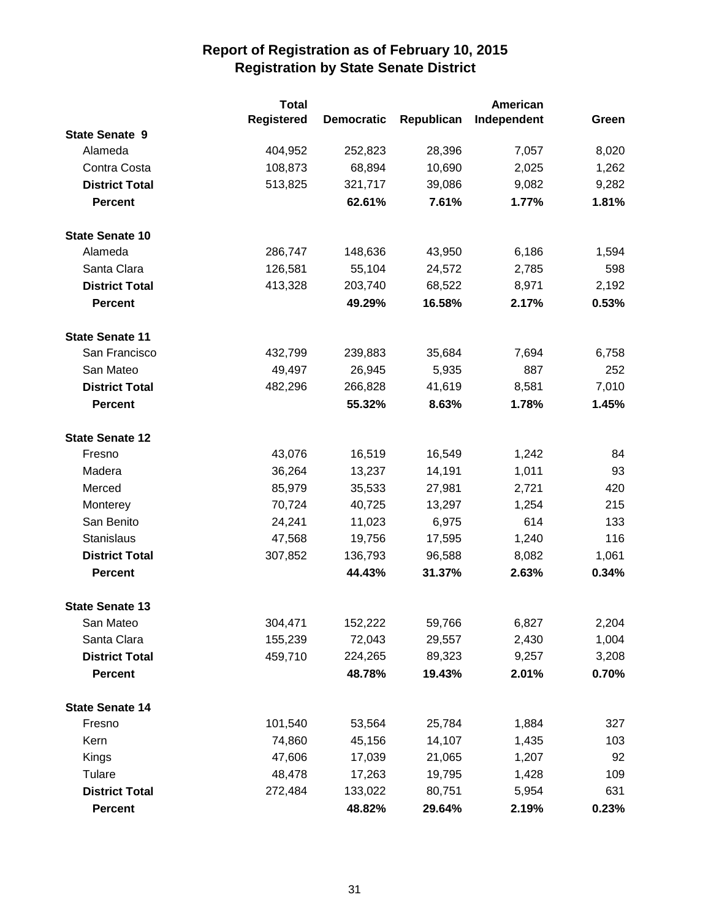|                        | <b>Total</b>      |                   |            | American    |       |
|------------------------|-------------------|-------------------|------------|-------------|-------|
|                        | <b>Registered</b> | <b>Democratic</b> | Republican | Independent | Green |
| <b>State Senate 9</b>  |                   |                   |            |             |       |
| Alameda                | 404,952           | 252,823           | 28,396     | 7,057       | 8,020 |
| Contra Costa           | 108,873           | 68,894            | 10,690     | 2,025       | 1,262 |
| <b>District Total</b>  | 513,825           | 321,717           | 39,086     | 9,082       | 9,282 |
| <b>Percent</b>         |                   | 62.61%            | 7.61%      | 1.77%       | 1.81% |
| <b>State Senate 10</b> |                   |                   |            |             |       |
| Alameda                | 286,747           | 148,636           | 43,950     | 6,186       | 1,594 |
| Santa Clara            | 126,581           | 55,104            | 24,572     | 2,785       | 598   |
| <b>District Total</b>  | 413,328           | 203,740           | 68,522     | 8,971       | 2,192 |
| <b>Percent</b>         |                   | 49.29%            | 16.58%     | 2.17%       | 0.53% |
| <b>State Senate 11</b> |                   |                   |            |             |       |
| San Francisco          | 432,799           | 239,883           | 35,684     | 7,694       | 6,758 |
| San Mateo              | 49,497            | 26,945            | 5,935      | 887         | 252   |
| <b>District Total</b>  | 482,296           | 266,828           | 41,619     | 8,581       | 7,010 |
| <b>Percent</b>         |                   | 55.32%            | 8.63%      | 1.78%       | 1.45% |
| <b>State Senate 12</b> |                   |                   |            |             |       |
| Fresno                 | 43,076            | 16,519            | 16,549     | 1,242       | 84    |
| Madera                 | 36,264            | 13,237            | 14,191     | 1,011       | 93    |
| Merced                 | 85,979            | 35,533            | 27,981     | 2,721       | 420   |
| Monterey               | 70,724            | 40,725            | 13,297     | 1,254       | 215   |
| San Benito             | 24,241            | 11,023            | 6,975      | 614         | 133   |
| <b>Stanislaus</b>      | 47,568            | 19,756            | 17,595     | 1,240       | 116   |
| <b>District Total</b>  | 307,852           | 136,793           | 96,588     | 8,082       | 1,061 |
| <b>Percent</b>         |                   | 44.43%            | 31.37%     | 2.63%       | 0.34% |
| <b>State Senate 13</b> |                   |                   |            |             |       |
| San Mateo              | 304,471           | 152,222           | 59,766     | 6,827       | 2,204 |
| Santa Clara            | 155,239           | 72,043            | 29,557     | 2,430       | 1,004 |
| <b>District Total</b>  | 459,710           | 224,265           | 89,323     | 9,257       | 3,208 |
| <b>Percent</b>         |                   | 48.78%            | 19.43%     | 2.01%       | 0.70% |
| <b>State Senate 14</b> |                   |                   |            |             |       |
| Fresno                 | 101,540           | 53,564            | 25,784     | 1,884       | 327   |
| Kern                   | 74,860            | 45,156            | 14,107     | 1,435       | 103   |
| <b>Kings</b>           | 47,606            | 17,039            | 21,065     | 1,207       | 92    |
| Tulare                 | 48,478            | 17,263            | 19,795     | 1,428       | 109   |
| <b>District Total</b>  | 272,484           | 133,022           | 80,751     | 5,954       | 631   |
| <b>Percent</b>         |                   | 48.82%            | 29.64%     | 2.19%       | 0.23% |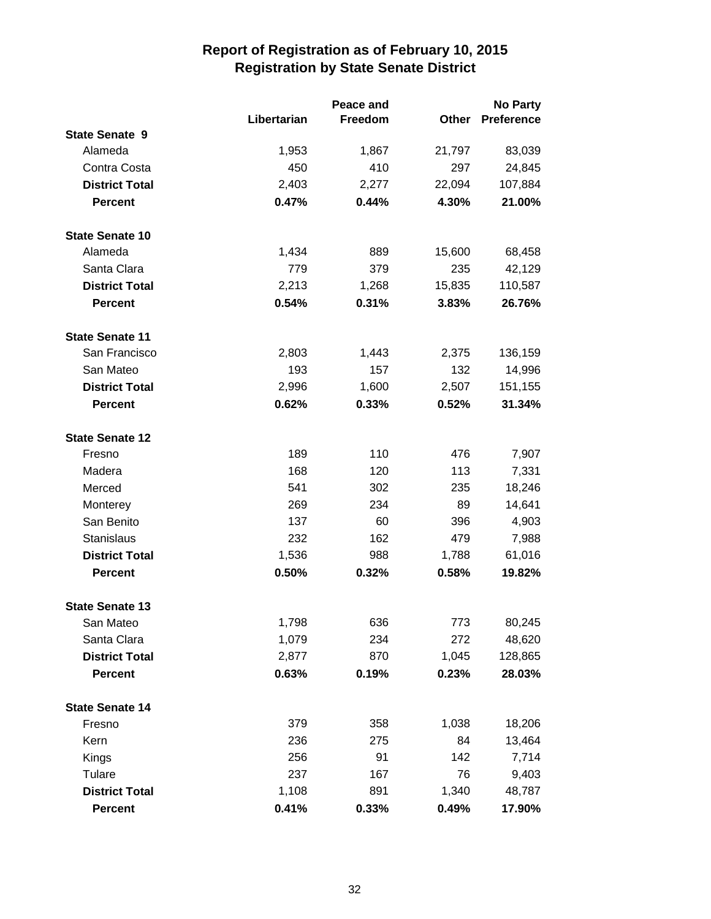|                        |             | Peace and | <b>No Party</b> |                   |
|------------------------|-------------|-----------|-----------------|-------------------|
|                        | Libertarian | Freedom   | Other           | <b>Preference</b> |
| <b>State Senate 9</b>  |             |           |                 |                   |
| Alameda                | 1,953       | 1,867     | 21,797          | 83,039            |
| Contra Costa           | 450         | 410       | 297             | 24,845            |
| <b>District Total</b>  | 2,403       | 2,277     | 22,094          | 107,884           |
| <b>Percent</b>         | 0.47%       | 0.44%     | 4.30%           | 21.00%            |
| <b>State Senate 10</b> |             |           |                 |                   |
| Alameda                | 1,434       | 889       | 15,600          | 68,458            |
| Santa Clara            | 779         | 379       | 235             | 42,129            |
| <b>District Total</b>  | 2,213       | 1,268     | 15,835          | 110,587           |
| <b>Percent</b>         | 0.54%       | 0.31%     | 3.83%           | 26.76%            |
| <b>State Senate 11</b> |             |           |                 |                   |
| San Francisco          | 2,803       | 1,443     | 2,375           | 136,159           |
| San Mateo              | 193         | 157       | 132             | 14,996            |
| <b>District Total</b>  | 2,996       | 1,600     | 2,507           | 151,155           |
| <b>Percent</b>         | 0.62%       | 0.33%     | 0.52%           | 31.34%            |
| <b>State Senate 12</b> |             |           |                 |                   |
| Fresno                 | 189         | 110       | 476             | 7,907             |
| Madera                 | 168         | 120       | 113             | 7,331             |
| Merced                 | 541         | 302       | 235             | 18,246            |
| Monterey               | 269         | 234       | 89              | 14,641            |
| San Benito             | 137         | 60        | 396             | 4,903             |
| Stanislaus             | 232         | 162       | 479             | 7,988             |
| <b>District Total</b>  | 1,536       | 988       | 1,788           | 61,016            |
| <b>Percent</b>         | 0.50%       | 0.32%     | 0.58%           | 19.82%            |
| <b>State Senate 13</b> |             |           |                 |                   |
| San Mateo              | 1,798       | 636       | 773             | 80,245            |
| Santa Clara            | 1,079       | 234       | 272             | 48,620            |
| <b>District Total</b>  | 2,877       | 870       | 1,045           | 128,865           |
| <b>Percent</b>         | 0.63%       | 0.19%     | 0.23%           | 28.03%            |
| <b>State Senate 14</b> |             |           |                 |                   |
| Fresno                 | 379         | 358       | 1,038           | 18,206            |
| Kern                   | 236         | 275       | 84              | 13,464            |
| Kings                  | 256         | 91        | 142             | 7,714             |
| Tulare                 | 237         | 167       | 76              | 9,403             |
| <b>District Total</b>  | 1,108       | 891       | 1,340           | 48,787            |
| <b>Percent</b>         | 0.41%       | 0.33%     | 0.49%           | 17.90%            |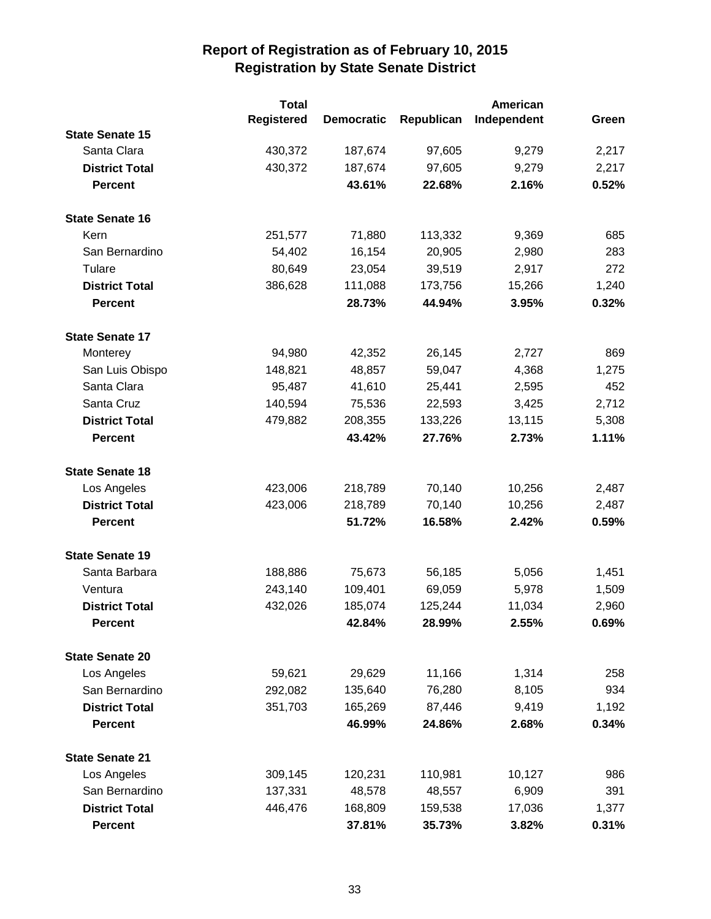|                        | <b>Total</b>      |                   |            | American    |       |  |
|------------------------|-------------------|-------------------|------------|-------------|-------|--|
|                        | <b>Registered</b> | <b>Democratic</b> | Republican | Independent | Green |  |
| <b>State Senate 15</b> |                   |                   |            |             |       |  |
| Santa Clara            | 430,372           | 187,674           | 97,605     | 9,279       | 2,217 |  |
| <b>District Total</b>  | 430,372           | 187,674           | 97,605     | 9,279       | 2,217 |  |
| <b>Percent</b>         |                   | 43.61%            | 22.68%     | 2.16%       | 0.52% |  |
| <b>State Senate 16</b> |                   |                   |            |             |       |  |
| Kern                   | 251,577           | 71,880            | 113,332    | 9,369       | 685   |  |
| San Bernardino         | 54,402            | 16,154            | 20,905     | 2,980       | 283   |  |
| Tulare                 | 80,649            | 23,054            | 39,519     | 2,917       | 272   |  |
| <b>District Total</b>  | 386,628           | 111,088           | 173,756    | 15,266      | 1,240 |  |
| <b>Percent</b>         |                   | 28.73%            | 44.94%     | 3.95%       | 0.32% |  |
| <b>State Senate 17</b> |                   |                   |            |             |       |  |
| Monterey               | 94,980            | 42,352            | 26,145     | 2,727       | 869   |  |
| San Luis Obispo        | 148,821           | 48,857            | 59,047     | 4,368       | 1,275 |  |
| Santa Clara            | 95,487            | 41,610            | 25,441     | 2,595       | 452   |  |
| Santa Cruz             | 140,594           | 75,536            | 22,593     | 3,425       | 2,712 |  |
| <b>District Total</b>  | 479,882           | 208,355           | 133,226    | 13,115      | 5,308 |  |
| <b>Percent</b>         |                   | 43.42%            | 27.76%     | 2.73%       | 1.11% |  |
| <b>State Senate 18</b> |                   |                   |            |             |       |  |
| Los Angeles            | 423,006           | 218,789           | 70,140     | 10,256      | 2,487 |  |
| <b>District Total</b>  | 423,006           | 218,789           | 70,140     | 10,256      | 2,487 |  |
| <b>Percent</b>         |                   | 51.72%            | 16.58%     | 2.42%       | 0.59% |  |
| <b>State Senate 19</b> |                   |                   |            |             |       |  |
| Santa Barbara          | 188,886           | 75,673            | 56,185     | 5,056       | 1,451 |  |
| Ventura                | 243,140           | 109,401           | 69,059     | 5,978       | 1,509 |  |
| <b>District Total</b>  | 432,026           | 185,074           | 125,244    | 11,034      | 2,960 |  |
| <b>Percent</b>         |                   | 42.84%            | 28.99%     | 2.55%       | 0.69% |  |
| <b>State Senate 20</b> |                   |                   |            |             |       |  |
| Los Angeles            | 59,621            | 29,629            | 11,166     | 1,314       | 258   |  |
| San Bernardino         | 292,082           | 135,640           | 76,280     | 8,105       | 934   |  |
| <b>District Total</b>  | 351,703           | 165,269           | 87,446     | 9,419       | 1,192 |  |
| <b>Percent</b>         |                   | 46.99%            | 24.86%     | 2.68%       | 0.34% |  |
| <b>State Senate 21</b> |                   |                   |            |             |       |  |
| Los Angeles            | 309,145           | 120,231           | 110,981    | 10,127      | 986   |  |
| San Bernardino         | 137,331           | 48,578            | 48,557     | 6,909       | 391   |  |
| <b>District Total</b>  | 446,476           | 168,809           | 159,538    | 17,036      | 1,377 |  |
| <b>Percent</b>         |                   | 37.81%            | 35.73%     | 3.82%       | 0.31% |  |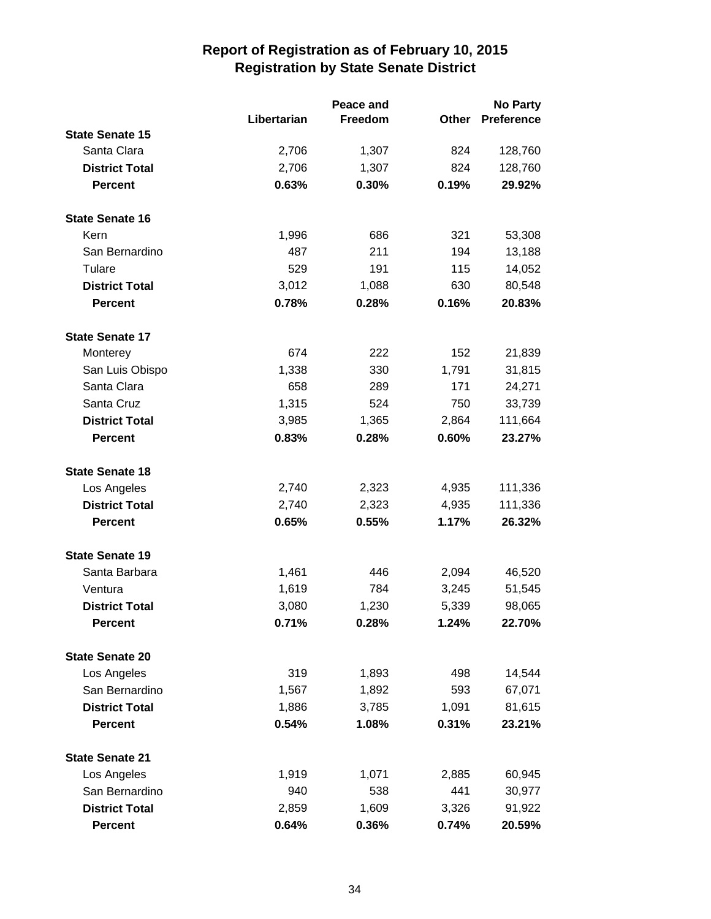|                        |             | Peace and |       | <b>No Party</b>   |  |
|------------------------|-------------|-----------|-------|-------------------|--|
|                        | Libertarian | Freedom   | Other | <b>Preference</b> |  |
| <b>State Senate 15</b> |             |           |       |                   |  |
| Santa Clara            | 2,706       | 1,307     | 824   | 128,760           |  |
| <b>District Total</b>  | 2,706       | 1,307     | 824   | 128,760           |  |
| <b>Percent</b>         | 0.63%       | 0.30%     | 0.19% | 29.92%            |  |
| <b>State Senate 16</b> |             |           |       |                   |  |
| Kern                   | 1,996       | 686       | 321   | 53,308            |  |
| San Bernardino         | 487         | 211       | 194   | 13,188            |  |
| Tulare                 | 529         | 191       | 115   | 14,052            |  |
| <b>District Total</b>  | 3,012       | 1,088     | 630   | 80,548            |  |
| <b>Percent</b>         | 0.78%       | 0.28%     | 0.16% | 20.83%            |  |
| <b>State Senate 17</b> |             |           |       |                   |  |
| Monterey               | 674         | 222       | 152   | 21,839            |  |
| San Luis Obispo        | 1,338       | 330       | 1,791 | 31,815            |  |
| Santa Clara            | 658         | 289       | 171   | 24,271            |  |
| Santa Cruz             | 1,315       | 524       | 750   | 33,739            |  |
| <b>District Total</b>  | 3,985       | 1,365     | 2,864 | 111,664           |  |
| <b>Percent</b>         | 0.83%       | 0.28%     | 0.60% | 23.27%            |  |
| <b>State Senate 18</b> |             |           |       |                   |  |
| Los Angeles            | 2,740       | 2,323     | 4,935 | 111,336           |  |
| <b>District Total</b>  | 2,740       | 2,323     | 4,935 | 111,336           |  |
| <b>Percent</b>         | 0.65%       | 0.55%     | 1.17% | 26.32%            |  |
| <b>State Senate 19</b> |             |           |       |                   |  |
| Santa Barbara          | 1,461       | 446       | 2,094 | 46,520            |  |
| Ventura                | 1,619       | 784       | 3,245 | 51,545            |  |
| <b>District Total</b>  | 3,080       | 1,230     | 5,339 | 98,065            |  |
| <b>Percent</b>         | 0.71%       | 0.28%     | 1.24% | 22.70%            |  |
| <b>State Senate 20</b> |             |           |       |                   |  |
| Los Angeles            | 319         | 1,893     | 498   | 14,544            |  |
| San Bernardino         | 1,567       | 1,892     | 593   | 67,071            |  |
| <b>District Total</b>  | 1,886       | 3,785     | 1,091 | 81,615            |  |
| <b>Percent</b>         | 0.54%       | 1.08%     | 0.31% | 23.21%            |  |
| <b>State Senate 21</b> |             |           |       |                   |  |
| Los Angeles            | 1,919       | 1,071     | 2,885 | 60,945            |  |
| San Bernardino         | 940         | 538       | 441   | 30,977            |  |
| <b>District Total</b>  | 2,859       | 1,609     | 3,326 | 91,922            |  |
| Percent                | 0.64%       | 0.36%     | 0.74% | 20.59%            |  |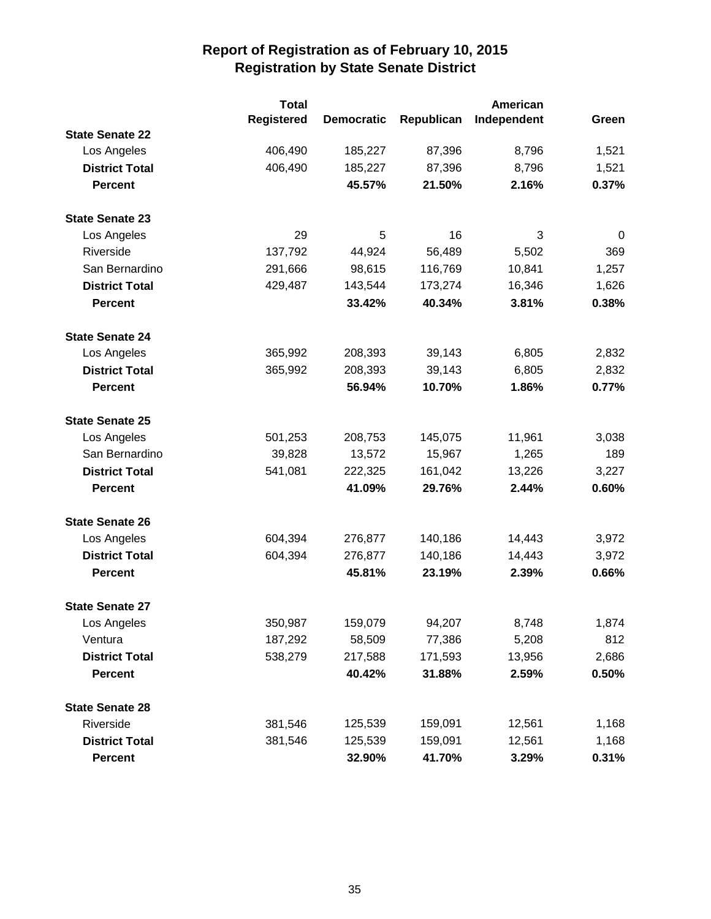|                        | <b>Total</b>      |                   |            | <b>American</b> |             |
|------------------------|-------------------|-------------------|------------|-----------------|-------------|
|                        | <b>Registered</b> | <b>Democratic</b> | Republican | Independent     | Green       |
| <b>State Senate 22</b> |                   |                   |            |                 |             |
| Los Angeles            | 406,490           | 185,227           | 87,396     | 8,796           | 1,521       |
| <b>District Total</b>  | 406,490           | 185,227           | 87,396     | 8,796           | 1,521       |
| <b>Percent</b>         |                   | 45.57%            | 21.50%     | 2.16%           | 0.37%       |
| <b>State Senate 23</b> |                   |                   |            |                 |             |
| Los Angeles            | 29                | 5                 | 16         | 3               | $\mathbf 0$ |
| Riverside              | 137,792           | 44,924            | 56,489     | 5,502           | 369         |
| San Bernardino         | 291,666           | 98,615            | 116,769    | 10,841          | 1,257       |
| <b>District Total</b>  | 429,487           | 143,544           | 173,274    | 16,346          | 1,626       |
| <b>Percent</b>         |                   | 33.42%            | 40.34%     | 3.81%           | 0.38%       |
| <b>State Senate 24</b> |                   |                   |            |                 |             |
| Los Angeles            | 365,992           | 208,393           | 39,143     | 6,805           | 2,832       |
| <b>District Total</b>  | 365,992           | 208,393           | 39,143     | 6,805           | 2,832       |
| <b>Percent</b>         |                   | 56.94%            | 10.70%     | 1.86%           | 0.77%       |
| <b>State Senate 25</b> |                   |                   |            |                 |             |
| Los Angeles            | 501,253           | 208,753           | 145,075    | 11,961          | 3,038       |
| San Bernardino         | 39,828            | 13,572            | 15,967     | 1,265           | 189         |
| <b>District Total</b>  | 541,081           | 222,325           | 161,042    | 13,226          | 3,227       |
| <b>Percent</b>         |                   | 41.09%            | 29.76%     | 2.44%           | 0.60%       |
| <b>State Senate 26</b> |                   |                   |            |                 |             |
| Los Angeles            | 604,394           | 276,877           | 140,186    | 14,443          | 3,972       |
| <b>District Total</b>  | 604,394           | 276,877           | 140,186    | 14,443          | 3,972       |
| <b>Percent</b>         |                   | 45.81%            | 23.19%     | 2.39%           | 0.66%       |
| <b>State Senate 27</b> |                   |                   |            |                 |             |
| Los Angeles            | 350,987           | 159,079           | 94,207     | 8,748           | 1,874       |
| Ventura                | 187,292           | 58,509            | 77,386     | 5,208           | 812         |
| <b>District Total</b>  | 538,279           | 217,588           | 171,593    | 13,956          | 2,686       |
| <b>Percent</b>         |                   | 40.42%            | 31.88%     | 2.59%           | 0.50%       |
| <b>State Senate 28</b> |                   |                   |            |                 |             |
| Riverside              | 381,546           | 125,539           | 159,091    | 12,561          | 1,168       |
| <b>District Total</b>  | 381,546           | 125,539           | 159,091    | 12,561          | 1,168       |
| <b>Percent</b>         |                   | 32.90%            | 41.70%     | 3.29%           | 0.31%       |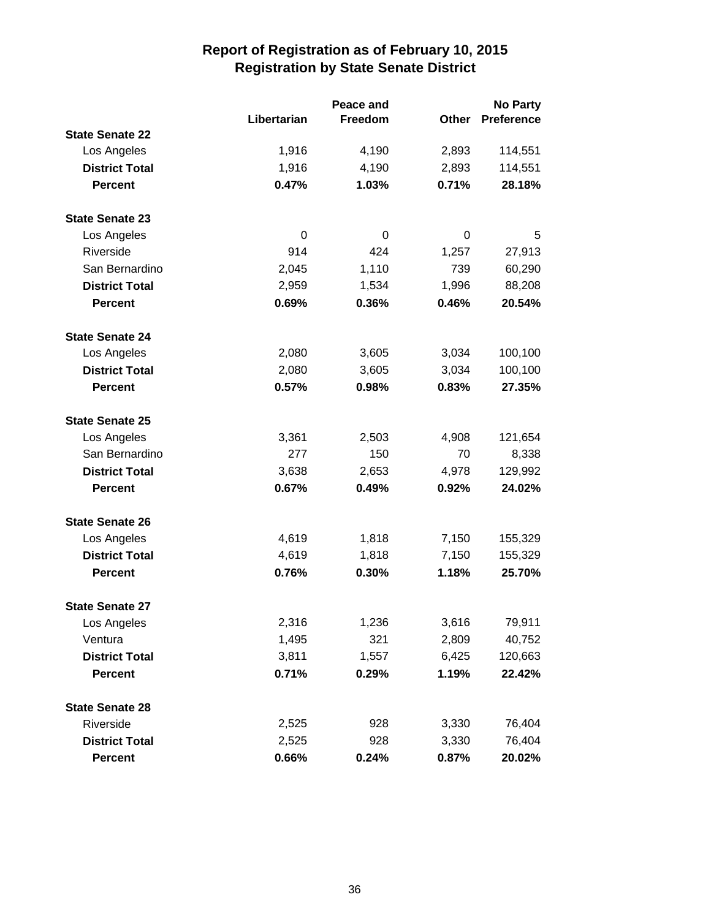|                        |             | Peace and |              | <b>No Party</b>   |
|------------------------|-------------|-----------|--------------|-------------------|
|                        | Libertarian | Freedom   | <b>Other</b> | <b>Preference</b> |
| <b>State Senate 22</b> |             |           |              |                   |
| Los Angeles            | 1,916       | 4,190     | 2,893        | 114,551           |
| <b>District Total</b>  | 1,916       | 4,190     | 2,893        | 114,551           |
| <b>Percent</b>         | 0.47%       | 1.03%     | 0.71%        | 28.18%            |
| <b>State Senate 23</b> |             |           |              |                   |
| Los Angeles            | 0           | 0         | 0            | 5                 |
| Riverside              | 914         | 424       | 1,257        | 27,913            |
| San Bernardino         | 2,045       | 1,110     | 739          | 60,290            |
| <b>District Total</b>  | 2,959       | 1,534     | 1,996        | 88,208            |
| <b>Percent</b>         | 0.69%       | 0.36%     | 0.46%        | 20.54%            |
| <b>State Senate 24</b> |             |           |              |                   |
| Los Angeles            | 2,080       | 3,605     | 3,034        | 100,100           |
| <b>District Total</b>  | 2,080       | 3,605     | 3,034        | 100,100           |
| <b>Percent</b>         | 0.57%       | 0.98%     | 0.83%        | 27.35%            |
| <b>State Senate 25</b> |             |           |              |                   |
| Los Angeles            | 3,361       | 2,503     | 4,908        | 121,654           |
| San Bernardino         | 277         | 150       | 70           | 8,338             |
| <b>District Total</b>  | 3,638       | 2,653     | 4,978        | 129,992           |
| <b>Percent</b>         | 0.67%       | 0.49%     | 0.92%        | 24.02%            |
| <b>State Senate 26</b> |             |           |              |                   |
| Los Angeles            | 4,619       | 1,818     | 7,150        | 155,329           |
| <b>District Total</b>  | 4,619       | 1,818     | 7,150        | 155,329           |
| <b>Percent</b>         | 0.76%       | 0.30%     | 1.18%        | 25.70%            |
| <b>State Senate 27</b> |             |           |              |                   |
| Los Angeles            | 2,316       | 1,236     | 3,616        | 79,911            |
| Ventura                | 1,495       | 321       | 2,809        | 40,752            |
| <b>District Total</b>  | 3,811       | 1,557     | 6,425        | 120,663           |
| <b>Percent</b>         | 0.71%       | 0.29%     | 1.19%        | 22.42%            |
| <b>State Senate 28</b> |             |           |              |                   |
| Riverside              | 2,525       | 928       | 3,330        | 76,404            |
| <b>District Total</b>  | 2,525       | 928       | 3,330        | 76,404            |
| <b>Percent</b>         | 0.66%       | 0.24%     | 0.87%        | 20.02%            |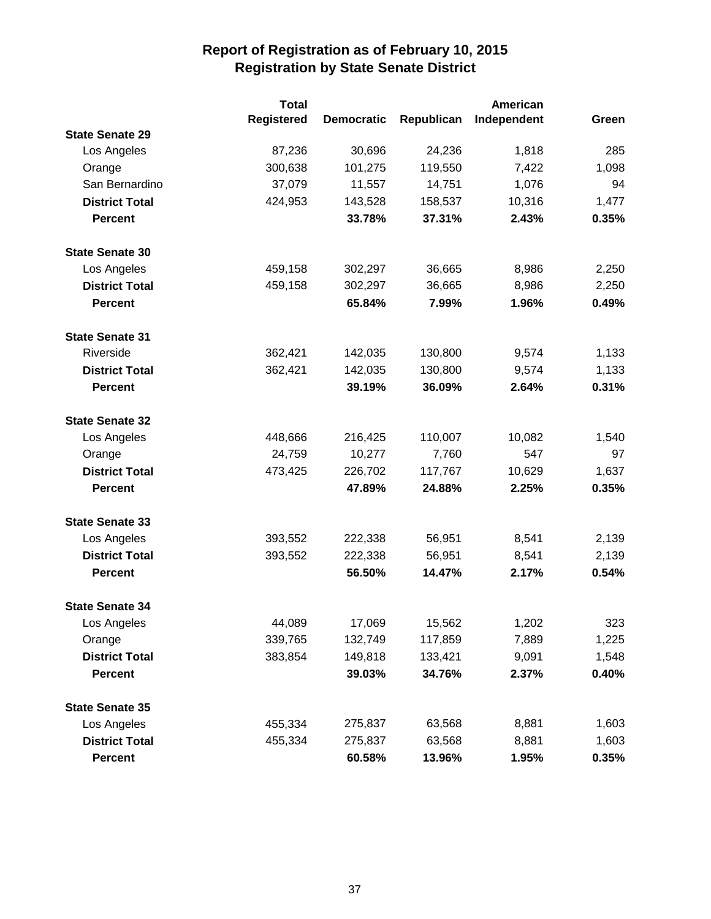|                        | <b>Total</b> |                   |            | American    |       |
|------------------------|--------------|-------------------|------------|-------------|-------|
|                        | Registered   | <b>Democratic</b> | Republican | Independent | Green |
| <b>State Senate 29</b> |              |                   |            |             |       |
| Los Angeles            | 87,236       | 30,696            | 24,236     | 1,818       | 285   |
| Orange                 | 300,638      | 101,275           | 119,550    | 7,422       | 1,098 |
| San Bernardino         | 37,079       | 11,557            | 14,751     | 1,076       | 94    |
| <b>District Total</b>  | 424,953      | 143,528           | 158,537    | 10,316      | 1,477 |
| <b>Percent</b>         |              | 33.78%            | 37.31%     | 2.43%       | 0.35% |
| <b>State Senate 30</b> |              |                   |            |             |       |
| Los Angeles            | 459,158      | 302,297           | 36,665     | 8,986       | 2,250 |
| <b>District Total</b>  | 459,158      | 302,297           | 36,665     | 8,986       | 2,250 |
| <b>Percent</b>         |              | 65.84%            | 7.99%      | 1.96%       | 0.49% |
| <b>State Senate 31</b> |              |                   |            |             |       |
| Riverside              | 362,421      | 142,035           | 130,800    | 9,574       | 1,133 |
| <b>District Total</b>  | 362,421      | 142,035           | 130,800    | 9,574       | 1,133 |
| <b>Percent</b>         |              | 39.19%            | 36.09%     | 2.64%       | 0.31% |
| <b>State Senate 32</b> |              |                   |            |             |       |
| Los Angeles            | 448,666      | 216,425           | 110,007    | 10,082      | 1,540 |
| Orange                 | 24,759       | 10,277            | 7,760      | 547         | 97    |
| <b>District Total</b>  | 473,425      | 226,702           | 117,767    | 10,629      | 1,637 |
| <b>Percent</b>         |              | 47.89%            | 24.88%     | 2.25%       | 0.35% |
| <b>State Senate 33</b> |              |                   |            |             |       |
| Los Angeles            | 393,552      | 222,338           | 56,951     | 8,541       | 2,139 |
| <b>District Total</b>  | 393,552      | 222,338           | 56,951     | 8,541       | 2,139 |
| <b>Percent</b>         |              | 56.50%            | 14.47%     | 2.17%       | 0.54% |
| <b>State Senate 34</b> |              |                   |            |             |       |
| Los Angeles            | 44,089       | 17,069            | 15,562     | 1,202       | 323   |
| Orange                 | 339,765      | 132,749           | 117,859    | 7,889       | 1,225 |
| <b>District Total</b>  | 383,854      | 149,818           | 133,421    | 9,091       | 1,548 |
| <b>Percent</b>         |              | 39.03%            | 34.76%     | 2.37%       | 0.40% |
| <b>State Senate 35</b> |              |                   |            |             |       |
| Los Angeles            | 455,334      | 275,837           | 63,568     | 8,881       | 1,603 |
| <b>District Total</b>  | 455,334      | 275,837           | 63,568     | 8,881       | 1,603 |
| <b>Percent</b>         |              | 60.58%            | 13.96%     | 1.95%       | 0.35% |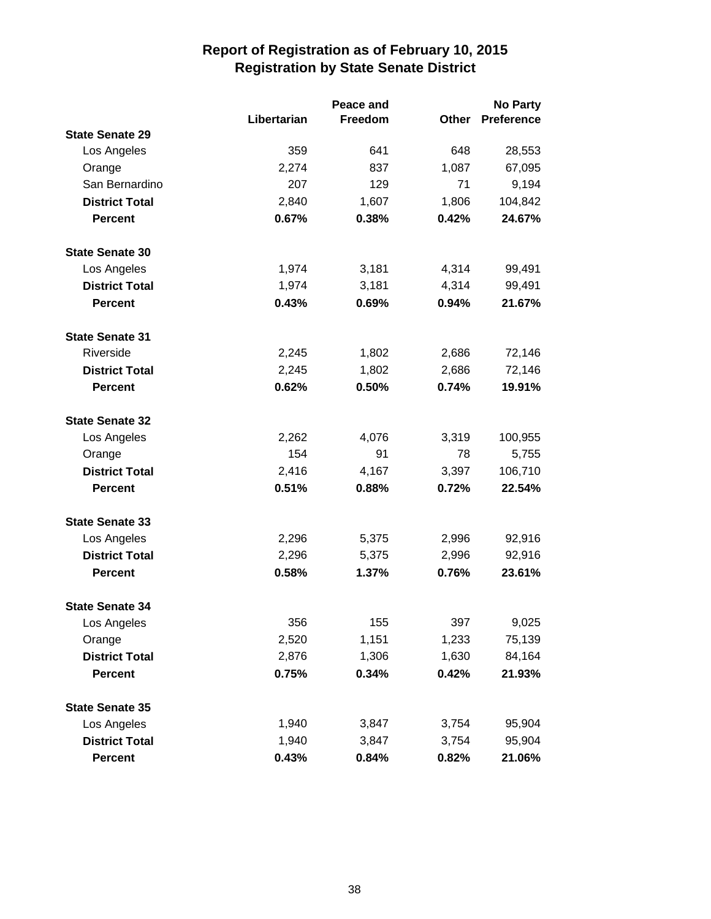|                        |             | Peace and |       | No Party          |  |
|------------------------|-------------|-----------|-------|-------------------|--|
|                        | Libertarian | Freedom   | Other | <b>Preference</b> |  |
| <b>State Senate 29</b> |             |           |       |                   |  |
| Los Angeles            | 359         | 641       | 648   | 28,553            |  |
| Orange                 | 2,274       | 837       | 1,087 | 67,095            |  |
| San Bernardino         | 207         | 129       | 71    | 9,194             |  |
| <b>District Total</b>  | 2,840       | 1,607     | 1,806 | 104,842           |  |
| <b>Percent</b>         | 0.67%       | 0.38%     | 0.42% | 24.67%            |  |
| <b>State Senate 30</b> |             |           |       |                   |  |
| Los Angeles            | 1,974       | 3,181     | 4,314 | 99,491            |  |
| <b>District Total</b>  | 1,974       | 3,181     | 4,314 | 99,491            |  |
| <b>Percent</b>         | 0.43%       | 0.69%     | 0.94% | 21.67%            |  |
| <b>State Senate 31</b> |             |           |       |                   |  |
| Riverside              | 2,245       | 1,802     | 2,686 | 72,146            |  |
| <b>District Total</b>  | 2,245       | 1,802     | 2,686 | 72,146            |  |
| <b>Percent</b>         | 0.62%       | 0.50%     | 0.74% | 19.91%            |  |
| <b>State Senate 32</b> |             |           |       |                   |  |
| Los Angeles            | 2,262       | 4,076     | 3,319 | 100,955           |  |
| Orange                 | 154         | 91        | 78    | 5,755             |  |
| <b>District Total</b>  | 2,416       | 4,167     | 3,397 | 106,710           |  |
| <b>Percent</b>         | 0.51%       | 0.88%     | 0.72% | 22.54%            |  |
| <b>State Senate 33</b> |             |           |       |                   |  |
| Los Angeles            | 2,296       | 5,375     | 2,996 | 92,916            |  |
| <b>District Total</b>  | 2,296       | 5,375     | 2,996 | 92,916            |  |
| <b>Percent</b>         | 0.58%       | 1.37%     | 0.76% | 23.61%            |  |
| <b>State Senate 34</b> |             |           |       |                   |  |
| Los Angeles            | 356         | 155       | 397   | 9,025             |  |
| Orange                 | 2,520       | 1,151     | 1,233 | 75,139            |  |
| <b>District Total</b>  | 2,876       | 1,306     | 1,630 | 84,164            |  |
| <b>Percent</b>         | 0.75%       | 0.34%     | 0.42% | 21.93%            |  |
| <b>State Senate 35</b> |             |           |       |                   |  |
| Los Angeles            | 1,940       | 3,847     | 3,754 | 95,904            |  |
| <b>District Total</b>  | 1,940       | 3,847     | 3,754 | 95,904            |  |
| Percent                | 0.43%       | 0.84%     | 0.82% | 21.06%            |  |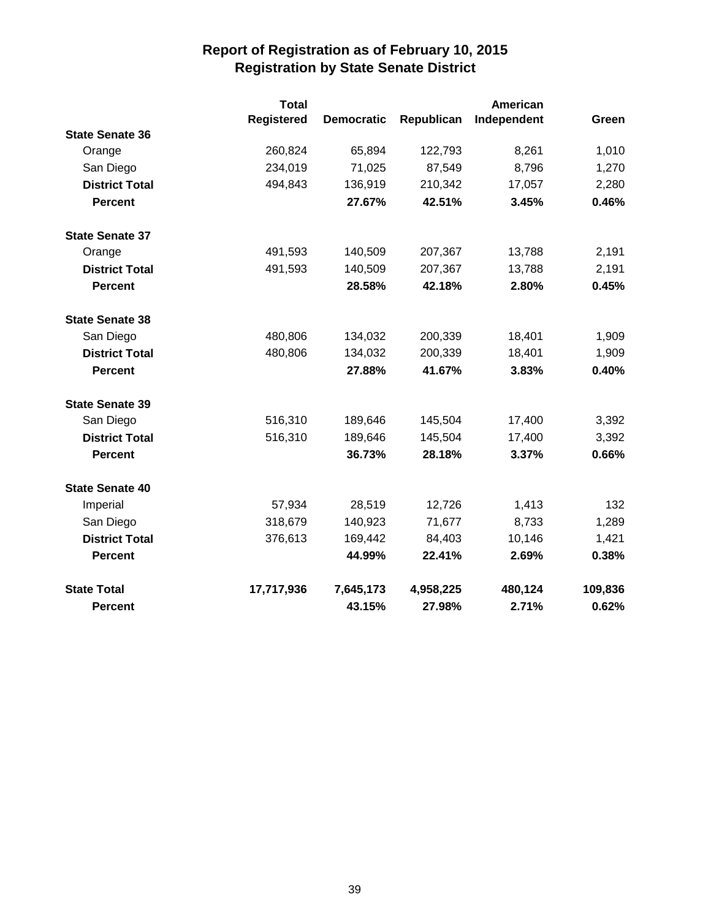|                        | <b>Total</b>      |                   | American   |             |         |
|------------------------|-------------------|-------------------|------------|-------------|---------|
|                        | <b>Registered</b> | <b>Democratic</b> | Republican | Independent | Green   |
| <b>State Senate 36</b> |                   |                   |            |             |         |
| Orange                 | 260,824           | 65,894            | 122,793    | 8,261       | 1,010   |
| San Diego              | 234,019           | 71,025            | 87,549     | 8,796       | 1,270   |
| <b>District Total</b>  | 494,843           | 136,919           | 210,342    | 17,057      | 2,280   |
| <b>Percent</b>         |                   | 27.67%            | 42.51%     | 3.45%       | 0.46%   |
| <b>State Senate 37</b> |                   |                   |            |             |         |
| Orange                 | 491,593           | 140,509           | 207,367    | 13,788      | 2,191   |
| <b>District Total</b>  | 491,593           | 140,509           | 207,367    | 13,788      | 2,191   |
| <b>Percent</b>         |                   | 28.58%            | 42.18%     | 2.80%       | 0.45%   |
| <b>State Senate 38</b> |                   |                   |            |             |         |
| San Diego              | 480,806           | 134,032           | 200,339    | 18,401      | 1,909   |
| <b>District Total</b>  | 480,806           | 134,032           | 200,339    | 18,401      | 1,909   |
| <b>Percent</b>         |                   | 27.88%            | 41.67%     | 3.83%       | 0.40%   |
| <b>State Senate 39</b> |                   |                   |            |             |         |
| San Diego              | 516,310           | 189,646           | 145,504    | 17,400      | 3,392   |
| <b>District Total</b>  | 516,310           | 189,646           | 145,504    | 17,400      | 3,392   |
| <b>Percent</b>         |                   | 36.73%            | 28.18%     | 3.37%       | 0.66%   |
| <b>State Senate 40</b> |                   |                   |            |             |         |
| Imperial               | 57,934            | 28,519            | 12,726     | 1,413       | 132     |
| San Diego              | 318,679           | 140,923           | 71,677     | 8,733       | 1,289   |
| <b>District Total</b>  | 376,613           | 169,442           | 84,403     | 10,146      | 1,421   |
| <b>Percent</b>         |                   | 44.99%            | 22.41%     | 2.69%       | 0.38%   |
| <b>State Total</b>     | 17,717,936        | 7,645,173         | 4,958,225  | 480,124     | 109,836 |
| <b>Percent</b>         |                   | 43.15%            | 27.98%     | 2.71%       | 0.62%   |